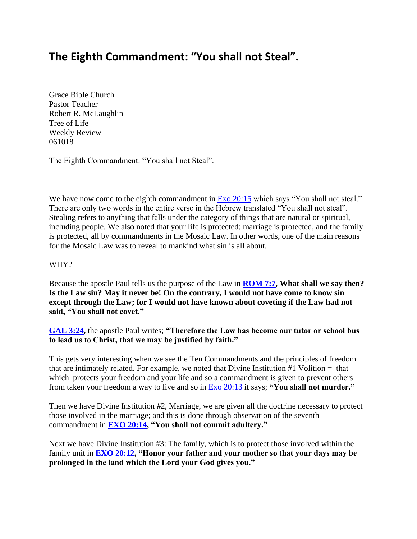# **The Eighth Commandment: "You shall not Steal".**

Grace Bible Church Pastor Teacher Robert R. McLaughlin Tree of Life Weekly Review 061018

The Eighth Commandment: "You shall not Steal".

We have now come to the eighth commandment in [Exo 20:15](https://www.bibleserver.com/text/NIV/Exodus20%3A15) which says "You shall not steal." There are only two words in the entire verse in the Hebrew translated "You shall not steal". Stealing refers to anything that falls under the category of things that are natural or spiritual, including people. We also noted that your life is protected; marriage is protected, and the family is protected, all by commandments in the Mosaic Law. In other words, one of the main reasons for the Mosaic Law was to reveal to mankind what sin is all about.

# WHY?

Because the apostle Paul tells us the purpose of the Law in **[ROM 7:7,](https://www.bibleserver.com/text/NIV/Romans7%3A7) What shall we say then? Is the Law sin? May it never be! On the contrary, I would not have come to know sin except through the Law; for I would not have known about coveting if the Law had not said, "You shall not covet."**

**[GAL 3:24,](https://www.bibleserver.com/text/NIV/Galatians3%3A24)** the apostle Paul writes; **"Therefore the Law has become our tutor or school bus to lead us to Christ, that we may be justified by faith."**

This gets very interesting when we see the Ten Commandments and the principles of freedom that are intimately related. For example, we noted that Divine Institution #1 Volition = that which protects your freedom and your life and so a commandment is given to prevent others from taken your freedom a way to live and so in [Exo 20:13](https://www.bibleserver.com/text/NIV/Exodus20%3A13) it says; **"You shall not murder."**

Then we have Divine Institution #2, Marriage, we are given all the doctrine necessary to protect those involved in the marriage; and this is done through observation of the seventh commandment in **[EXO 20:14,](https://www.bibleserver.com/text/NIV/Exodus20%3A14) "You shall not commit adultery."**

Next we have Divine Institution #3: The family, which is to protect those involved within the family unit in **[EXO 20:12,](https://www.bibleserver.com/text/NIV/Exodus20%3A12) "Honor your father and your mother so that your days may be prolonged in the land which the Lord your God gives you."**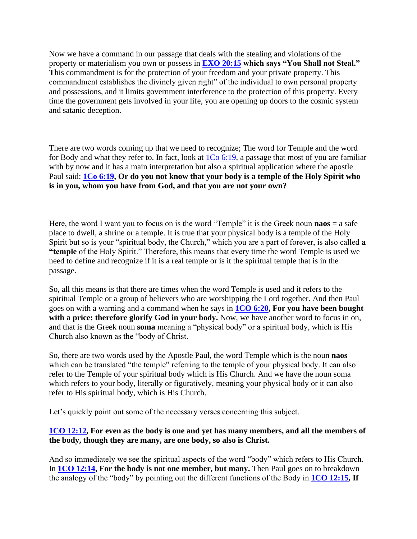Now we have a command in our passage that deals with the stealing and violations of the property or materialism you own or possess in **[EXO 20:15](https://www.bibleserver.com/text/NIV/Exodus20%3A15) which says "You Shall not Steal." T**his commandment is for the protection of your freedom and your private property. This commandment establishes the divinely given right" of the individual to own personal property and possessions, and it limits government interference to the protection of this property. Every time the government gets involved in your life, you are opening up doors to the cosmic system and satanic deception.

There are two words coming up that we need to recognize; The word for Temple and the word for Body and what they refer to. In fact, look at  $1\text{Co } 6:19$ , a passage that most of you are familiar with by now and it has a main interpretation but also a spiritual application where the apostle Paul said: **[1Co 6:19,](https://www.bibleserver.com/text/NIV/1Corinthians6%3A19) Or do you not know that your body is a temple of the Holy Spirit who is in you, whom you have from God, and that you are not your own?**

Here, the word I want you to focus on is the word "Temple" it is the Greek noun **naos** = a safe place to dwell, a shrine or a temple. It is true that your physical body is a temple of the Holy Spirit but so is your "spiritual body, the Church," which you are a part of forever, is also called **a "temple** of the Holy Spirit." Therefore, this means that every time the word Temple is used we need to define and recognize if it is a real temple or is it the spiritual temple that is in the passage.

So, all this means is that there are times when the word Temple is used and it refers to the spiritual Temple or a group of believers who are worshipping the Lord together. And then Paul goes on with a warning and a command when he says in **[1CO 6:20,](https://www.bibleserver.com/text/NIV/1Corinthians6%3A20) For you have been bought**  with a price: therefore glorify God in your body. Now, we have another word to focus in on, and that is the Greek noun **soma** meaning a "physical body" or a spiritual body, which is His Church also known as the "body of Christ.

So, there are two words used by the Apostle Paul, the word Temple which is the noun **naos**  which can be translated "the temple" referring to the temple of your physical body. It can also refer to the Temple of your spiritual body which is His Church. And we have the noun soma which refers to your body, literally or figuratively, meaning your physical body or it can also refer to His spiritual body, which is His Church.

Let's quickly point out some of the necessary verses concerning this subject.

# **[1CO 12:12,](https://www.bibleserver.com/text/NIV/1Corinthians12%3A12) For even as the body is one and yet has many members, and all the members of the body, though they are many, are one body, so also is Christ.**

And so immediately we see the spiritual aspects of the word "body" which refers to His Church. In **[1CO 12:14,](https://www.bibleserver.com/text/NIV/1Corinthians12%3A14) For the body is not one member, but many.** Then Paul goes on to breakdown the analogy of the "body" by pointing out the different functions of the Body in **[1CO 12:15,](https://www.bibleserver.com/text/NIV/1Corinthians12%3A15) If**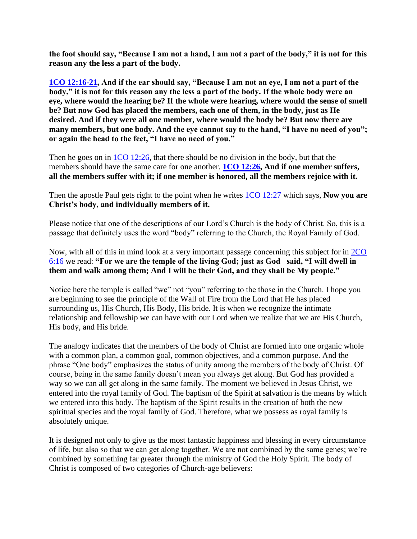**the foot should say, "Because I am not a hand, I am not a part of the body," it is not for this reason any the less a part of the body.**

**[1CO 12:16-21,](https://www.bibleserver.com/text/NIV/1Corinthians12%3A16-21) And if the ear should say, "Because I am not an eye, I am not a part of the body," it is not for this reason any the less a part of the body. If the whole body were an eye, where would the hearing be? If the whole were hearing, where would the sense of smell be? But now God has placed the members, each one of them, in the body, just as He desired. And if they were all one member, where would the body be? But now there are many members, but one body. And the eye cannot say to the hand, "I have no need of you"; or again the head to the feet, "I have no need of you."**

Then he goes on in [1CO 12:26,](https://www.bibleserver.com/text/NIV/1Corinthians12%3A26) that there should be no division in the body, but that the members should have the same care for one another. **[1CO 12:26,](https://www.bibleserver.com/text/NIV/1Corinthians12%3A26) And if one member suffers, all the members suffer with it; if one member is honored, all the members rejoice with it.**

Then the apostle Paul gets right to the point when he writes [1CO 12:27](https://www.bibleserver.com/text/NIV/1Corinthians12%3A27) which says, **Now you are Christ's body, and individually members of it.**

Please notice that one of the descriptions of our Lord's Church is the body of Christ. So, this is a passage that definitely uses the word "body" referring to the Church, the Royal Family of God.

Now, with all of this in mind look at a very important passage concerning this subject for in [2CO](https://www.bibleserver.com/text/NIV/2Corinthians6%3A16)  [6:16](https://www.bibleserver.com/text/NIV/2Corinthians6%3A16) we read: **"For we are the temple of the living God; just as God said, "I will dwell in them and walk among them; And I will be their God, and they shall be My people."**

Notice here the temple is called "we" not "you" referring to the those in the Church. I hope you are beginning to see the principle of the Wall of Fire from the Lord that He has placed surrounding us, His Church, His Body, His bride. It is when we recognize the intimate relationship and fellowship we can have with our Lord when we realize that we are His Church, His body, and His bride.

The analogy indicates that the members of the body of Christ are formed into one organic whole with a common plan, a common goal, common objectives, and a common purpose. And the phrase "One body" emphasizes the status of unity among the members of the body of Christ. Of course, being in the same family doesn't mean you always get along. But God has provided a way so we can all get along in the same family. The moment we believed in Jesus Christ, we entered into the royal family of God. The baptism of the Spirit at salvation is the means by which we entered into this body. The baptism of the Spirit results in the creation of both the new spiritual species and the royal family of God. Therefore, what we possess as royal family is absolutely unique.

It is designed not only to give us the most fantastic happiness and blessing in every circumstance of life, but also so that we can get along together. We are not combined by the same genes; we're combined by something far greater through the ministry of God the Holy Spirit. The body of Christ is composed of two categories of Church-age believers: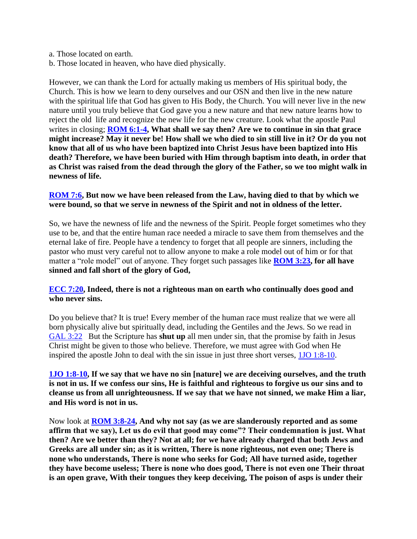- a. Those located on earth.
- b. Those located in heaven, who have died physically.

However, we can thank the Lord for actually making us members of His spiritual body, the Church. This is how we learn to deny ourselves and our OSN and then live in the new nature with the spiritual life that God has given to His Body, the Church. You will never live in the new nature until you truly believe that God gave you a new nature and that new nature learns how to reject the old life and recognize the new life for the new creature. Look what the apostle Paul writes in closing; **[ROM 6:1-4,](https://www.bibleserver.com/text/NIV/Romans6%3A1-4) What shall we say then? Are we to continue in sin that grace might increase? May it never be! How shall we who died to sin still live in it? Or do you not know that all of us who have been baptized into Christ Jesus have been baptized into His death? Therefore, we have been buried with Him through baptism into death, in order that as Christ was raised from the dead through the glory of the Father, so we too might walk in newness of life.**

# **[ROM 7:6,](https://www.bibleserver.com/text/NIV/Romans7%3A6) But now we have been released from the Law, having died to that by which we were bound, so that we serve in newness of the Spirit and not in oldness of the letter.**

So, we have the newness of life and the newness of the Spirit. People forget sometimes who they use to be, and that the entire human race needed a miracle to save them from themselves and the eternal lake of fire. People have a tendency to forget that all people are sinners, including the pastor who must very careful not to allow anyone to make a role model out of him or for that matter a "role model" out of anyone. They forget such passages like **[ROM 3:23,](https://www.bibleserver.com/text/NIV/Romans3%3A23) for all have sinned and fall short of the glory of God,**

# **[ECC 7:20,](https://www.bibleserver.com/text/NIV/Ecclesiastes7%3A20) Indeed, there is not a righteous man on earth who continually does good and who never sins.**

Do you believe that? It is true! Every member of the human race must realize that we were all born physically alive but spiritually dead, including the Gentiles and the Jews. So we read in [GAL 3:22](https://www.bibleserver.com/text/NIV/Galatians3%3A22) But the Scripture has **shut up** all men under sin, that the promise by faith in Jesus Christ might be given to those who believe. Therefore, we must agree with God when He inspired the apostle John to deal with the sin issue in just three short verses, [1JO 1:8-10.](https://www.bibleserver.com/text/NIV/1John1%3A8-10)

**[1JO 1:8-10,](https://www.bibleserver.com/text/NIV/1John1%3A8-10) If we say that we have no sin [nature] we are deceiving ourselves, and the truth is not in us. If we confess our sins, He is faithful and righteous to forgive us our sins and to cleanse us from all unrighteousness. If we say that we have not sinned, we make Him a liar, and His word is not in us.**

Now look at **[ROM 3:8-24,](https://www.bibleserver.com/text/NIV/Romans3%3A8-24) And why not say (as we are slanderously reported and as some affirm that we say), Let us do evil that good may come"? Their condemnation is just. What then? Are we better than they? Not at all; for we have already charged that both Jews and Greeks are all under sin; as it is written, There is none righteous, not even one; There is none who understands, There is none who seeks for God; All have turned aside, together they have become useless; There is none who does good, There is not even one Their throat is an open grave, With their tongues they keep deceiving, The poison of asps is under their**